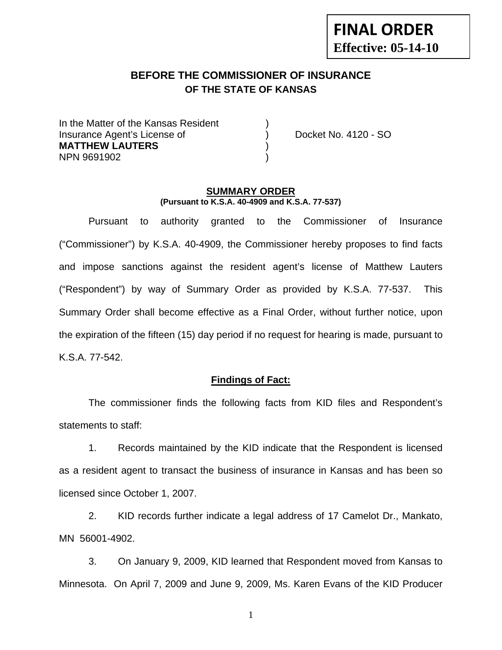# **FINAL ORDER Effective: 05-14-10**

# **BEFORE THE COMMISSIONER OF INSURANCE OF THE STATE OF KANSAS**

In the Matter of the Kansas Resident Insurance Agent's License of ) Docket No. 4120 - SO **MATTHEW LAUTERS** ) NPN 9691902 )

#### **SUMMARY ORDER (Pursuant to K.S.A. 40-4909 and K.S.A. 77-537)**

 Pursuant to authority granted to the Commissioner of Insurance ("Commissioner") by K.S.A. 40-4909, the Commissioner hereby proposes to find facts and impose sanctions against the resident agent's license of Matthew Lauters ("Respondent") by way of Summary Order as provided by K.S.A. 77-537. This Summary Order shall become effective as a Final Order, without further notice, upon the expiration of the fifteen (15) day period if no request for hearing is made, pursuant to K.S.A. 77-542.

#### **Findings of Fact:**

 The commissioner finds the following facts from KID files and Respondent's statements to staff:

 1. Records maintained by the KID indicate that the Respondent is licensed as a resident agent to transact the business of insurance in Kansas and has been so licensed since October 1, 2007.

 2. KID records further indicate a legal address of 17 Camelot Dr., Mankato, MN 56001-4902.

 3. On January 9, 2009, KID learned that Respondent moved from Kansas to Minnesota. On April 7, 2009 and June 9, 2009, Ms. Karen Evans of the KID Producer

1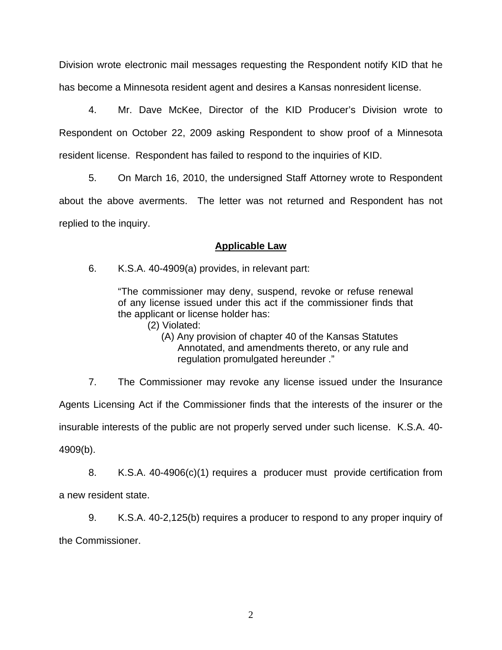Division wrote electronic mail messages requesting the Respondent notify KID that he has become a Minnesota resident agent and desires a Kansas nonresident license.

 4. Mr. Dave McKee, Director of the KID Producer's Division wrote to Respondent on October 22, 2009 asking Respondent to show proof of a Minnesota resident license. Respondent has failed to respond to the inquiries of KID.

 5. On March 16, 2010, the undersigned Staff Attorney wrote to Respondent about the above averments. The letter was not returned and Respondent has not replied to the inquiry.

## **Applicable Law**

6. K.S.A. 40-4909(a) provides, in relevant part:

"The commissioner may deny, suspend, revoke or refuse renewal of any license issued under this act if the commissioner finds that the applicant or license holder has:

(2) Violated:

 (A) Any provision of chapter 40 of the Kansas Statutes Annotated, and amendments thereto, or any rule and regulation promulgated hereunder ."

 7. The Commissioner may revoke any license issued under the Insurance Agents Licensing Act if the Commissioner finds that the interests of the insurer or the insurable interests of the public are not properly served under such license. K.S.A. 40- 4909(b).

 8. K.S.A. 40-4906(c)(1) requires a producer must provide certification from a new resident state.

 9. K.S.A. 40-2,125(b) requires a producer to respond to any proper inquiry of the Commissioner.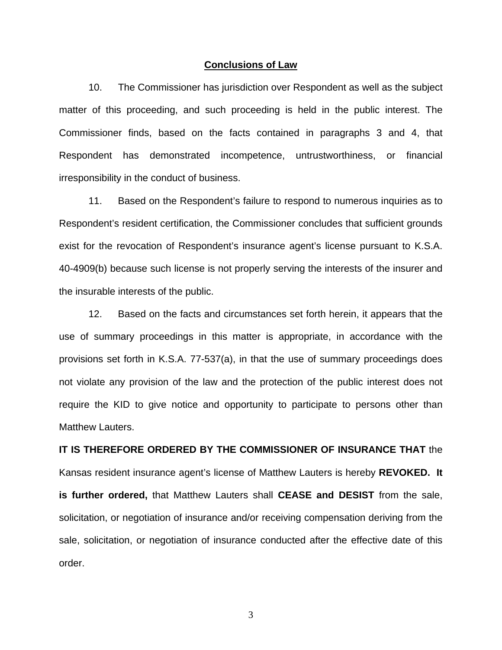#### **Conclusions of Law**

 10. The Commissioner has jurisdiction over Respondent as well as the subject matter of this proceeding, and such proceeding is held in the public interest. The Commissioner finds, based on the facts contained in paragraphs 3 and 4, that Respondent has demonstrated incompetence, untrustworthiness, or financial irresponsibility in the conduct of business.

 11. Based on the Respondent's failure to respond to numerous inquiries as to Respondent's resident certification, the Commissioner concludes that sufficient grounds exist for the revocation of Respondent's insurance agent's license pursuant to K.S.A. 40-4909(b) because such license is not properly serving the interests of the insurer and the insurable interests of the public.

 12. Based on the facts and circumstances set forth herein, it appears that the use of summary proceedings in this matter is appropriate, in accordance with the provisions set forth in K.S.A. 77-537(a), in that the use of summary proceedings does not violate any provision of the law and the protection of the public interest does not require the KID to give notice and opportunity to participate to persons other than Matthew Lauters.

# **IT IS THEREFORE ORDERED BY THE COMMISSIONER OF INSURANCE THAT** the Kansas resident insurance agent's license of Matthew Lauters is hereby **REVOKED. It is further ordered,** that Matthew Lauters shall **CEASE and DESIST** from the sale, solicitation, or negotiation of insurance and/or receiving compensation deriving from the sale, solicitation, or negotiation of insurance conducted after the effective date of this order.

3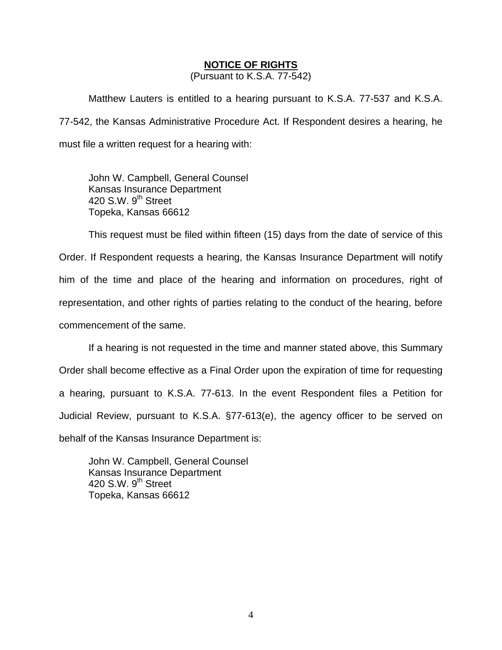#### **NOTICE OF RIGHTS**

(Pursuant to K.S.A. 77-542)

Matthew Lauters is entitled to a hearing pursuant to K.S.A. 77-537 and K.S.A. 77-542, the Kansas Administrative Procedure Act. If Respondent desires a hearing, he must file a written request for a hearing with:

 John W. Campbell, General Counsel Kansas Insurance Department 420 S.W. 9<sup>th</sup> Street Topeka, Kansas 66612

This request must be filed within fifteen (15) days from the date of service of this Order. If Respondent requests a hearing, the Kansas Insurance Department will notify him of the time and place of the hearing and information on procedures, right of representation, and other rights of parties relating to the conduct of the hearing, before commencement of the same.

If a hearing is not requested in the time and manner stated above, this Summary Order shall become effective as a Final Order upon the expiration of time for requesting a hearing, pursuant to K.S.A. 77-613. In the event Respondent files a Petition for Judicial Review, pursuant to K.S.A. §77-613(e), the agency officer to be served on behalf of the Kansas Insurance Department is:

 John W. Campbell, General Counsel Kansas Insurance Department 420 S.W.  $9<sup>th</sup>$  Street Topeka, Kansas 66612